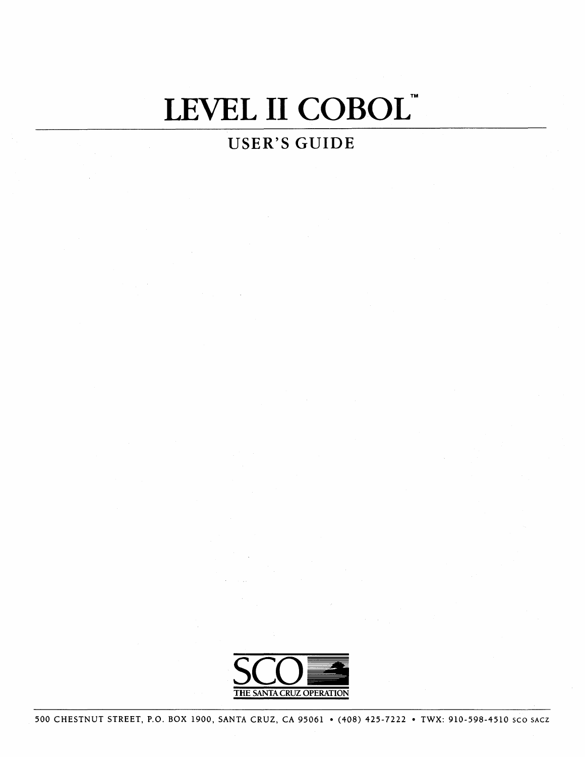# LEVEL II COBOL"

# **USER'S GUIDE**

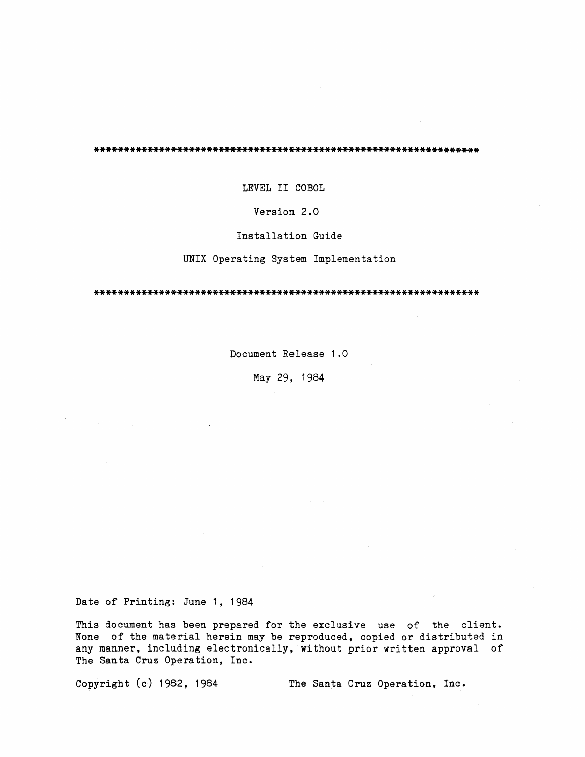LEVEL II COBOL

Version 2.0

Installation Guide

UNIX Operating System Implementation

Document Release 1.0

May 29, 1984

Date of Printing: June 1, 1984

This document has been prepared for the exclusive use of the client. None of the material herein may be reproduced, copied or distributed in any manner, including electronically, without prior written approval of The Santa Cruz Operation, Inc.

Copyright  $(c)$  1982, 1984

The Santa Cruz Operation, Inc.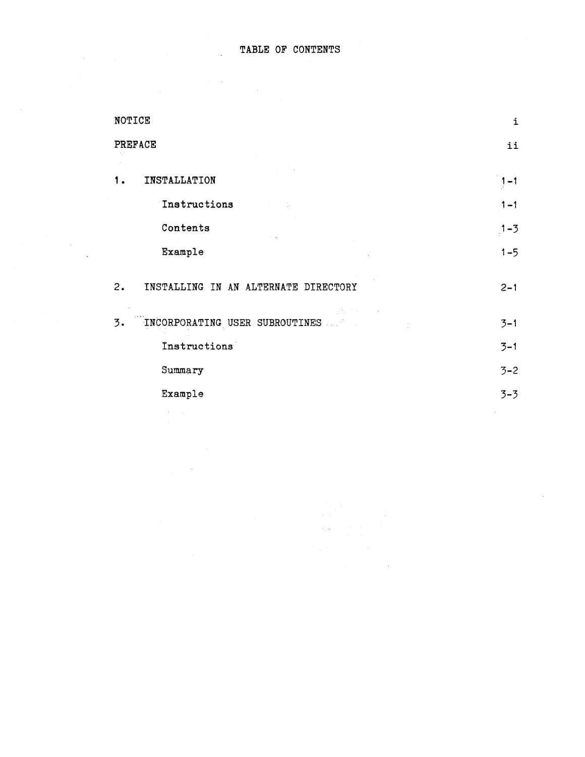$\label{eq:2.1} \frac{1}{\sqrt{2\pi}}\frac{1}{\sqrt{2\pi}}\int_{0}^{\pi}\frac{1}{\sqrt{2\pi}}\frac{1}{\sqrt{2\pi}}\frac{1}{\sqrt{2\pi}}\frac{1}{\sqrt{2\pi}}\frac{1}{\sqrt{2\pi}}\frac{1}{\sqrt{2\pi}}\frac{1}{\sqrt{2\pi}}\frac{1}{\sqrt{2\pi}}\frac{1}{\sqrt{2\pi}}\frac{1}{\sqrt{2\pi}}\frac{1}{\sqrt{2\pi}}\frac{1}{\sqrt{2\pi}}\frac{1}{\sqrt{2\pi}}\frac{1}{\sqrt{2\pi}}\frac{1}{\sqrt{2\pi$ 

 $\sim 10^{10}$ 

| NOTICE                                     |               |  |  |  |
|--------------------------------------------|---------------|--|--|--|
| PREFACE                                    | ii            |  |  |  |
| INSTALLATION                               | $1 - 1$       |  |  |  |
| <b>Instructions</b>                        | $1 - 1$       |  |  |  |
| Contents                                   | $1 - 3$       |  |  |  |
| Example                                    | $1 - 5$       |  |  |  |
| INSTALLING IN AN ALTERNATE DIRECTORY<br>2. | $2 - 1$       |  |  |  |
| INCORPORATING USER SUBROUTINES<br>3.       | $3 - 1$       |  |  |  |
| Instructions                               | $3 - 1$       |  |  |  |
| Summary                                    | $3 - 2$       |  |  |  |
| Example                                    | $3 - 3$       |  |  |  |
|                                            | $\mathcal{I}$ |  |  |  |

 $\mathcal{L}$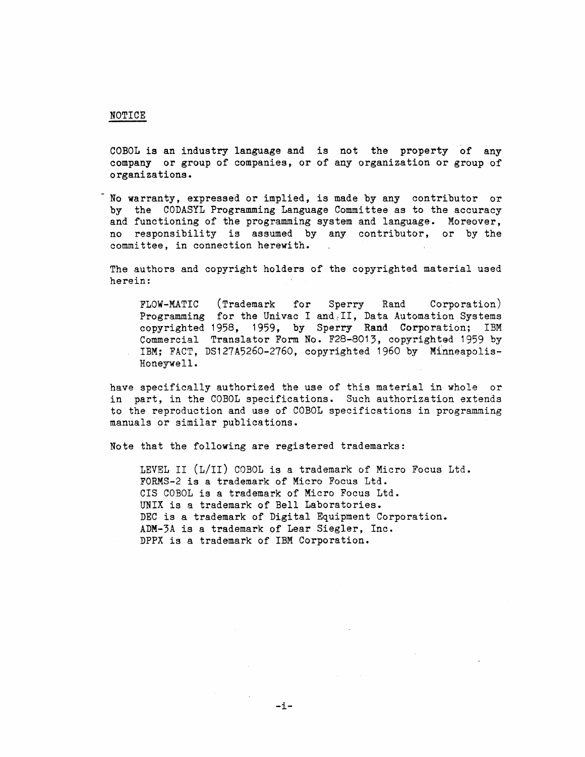#### NOTICE

COBOL is an industry language and is not the property of any company or group of companies, or of any organization or group of organizations.

No warranty, expressed or implied, is made by any contributor or by the CODASYL Programming Language Committee as to the accuracy and functioning of the programming system and language. Moreover, no responsibility is assumed by any contributor, or by the committee, in connection herewith.

The authors and copyright holders of the copyrighted material used herein:

FLOW-MATIC (Trademark for Sperry Rand Corporation) Programming for the Univac I and, II, Data Automation Systems copyrighted 1958, 1959, by Sperry Rand Corporation; IBM Commercial Translator Form No. F28-8013, copyrighted 1959 by IBM; FACT, DS127A5260-2760, copyrighted 1960 by Minneapolis-Honeywell.

have specifically authorized the use of this material in whole or in part, in the COBOL specifications. Such authorization extends to the reproduction and use of COBOL specifications in programming manuals or similar publications.

Note that the following are registered trademarks:

LEVEL II (L/II) COBOL is a trademark of Micro Focus Ltd. FORMS-2 is a trademark of Micro Focus Ltd. CIS COBOL is a trademark of Micro Focus Ltd. UNIX is a trademark of Bell Laboratories. DEC is a trademark of Digital Equipment Corporation. ADM-3A is a trademark of Lear Siegler, Inc. DPPX is a trademark of IBM Corporation.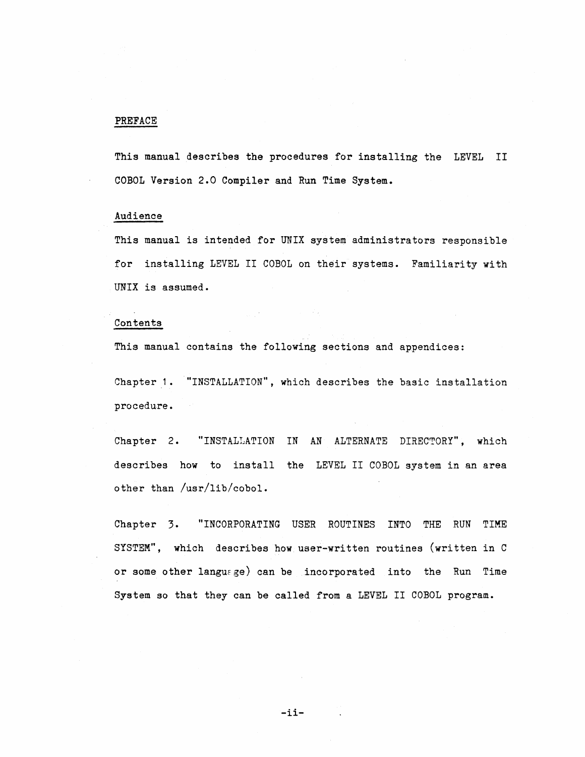# PREFACE

This manual describes the procedures for installing the LEVEL II COBOL Version 2.0 Compiler and Run Time System.

# Audience

This manual is intended for UNIX system administrators responsible for installing LEVEL II COBOL on their systems. Familiarity with UNIX is assumed.

# Contents

This manual contains the following sections and appendices:

Chapter 1. "INSTALLATION", which describes the basic installation procedure.

Chapter 2. "INSTALLATION IN AN ALTERNATE DIRECTORY", which describes how to install the LEVEL II COBOL system in an area other than /usr/lib/cobol.

Chapter 3. SYSTEM", which describes how user-written routines (written in C 3. "INCORPORATING USER ROUTINES INTO THE RUN TIME or some other langurge) can be incorporated into the Run Time System so that they can be called from a LEVEL II COBOL program.

-ii-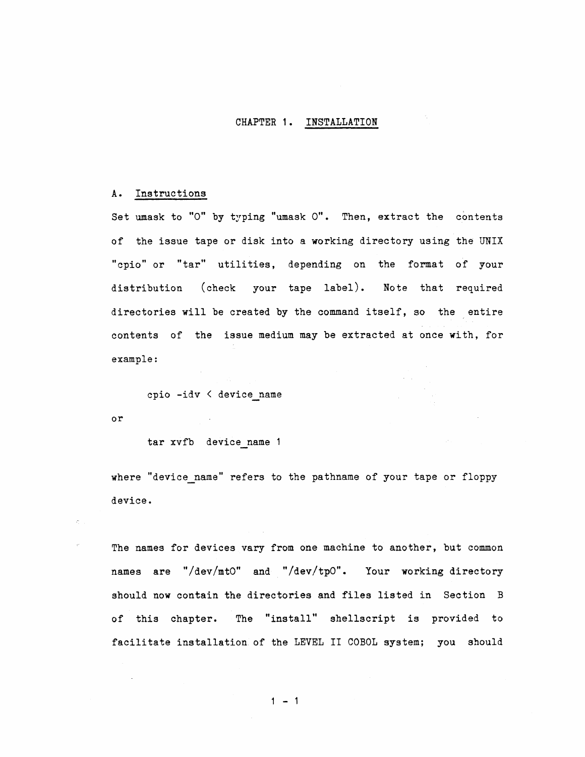# CHAPTER 1. INSTALLATION

#### A. Instructions

Set umask to "O" by typing "umask O". Then, extract the contents of the issue tape or disk into a working directory using the UNIX "cpio" or "tar" utilities, depending on the format of your distribution (check your tape label). Note that required directories will be created by the command itself, so the entire contents of the issue medium may be extracted at once with, for example:

cpio -idv < device name

or

tar xvfb device name

where "device name" refers to the pathname of your tape or floppy device.

The names for devices vary from one machine to another, but common names are "/dev/mtO" and "/dev/tpO". Your working directory should now contain the directories and files listed in Section B of this chapter. The "install" shellscript is provided to facilitate installation of the LEVEL II COBOL system; you should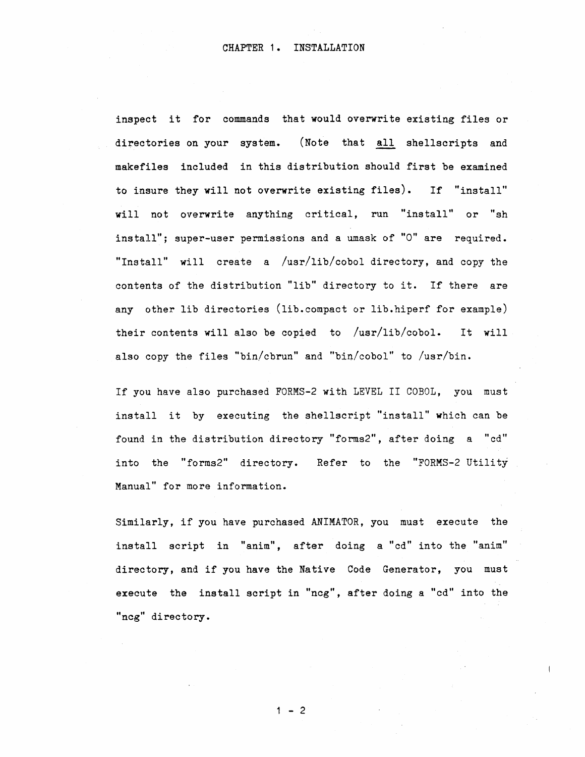inspect it for commands that would overwrite existing files or directories on your system. (Note that all shellscripts and makefiles included in this distribution should first be examined to insure they will not overwrite existing files). If "install" will not overwrite anything critical, run "install" or "sh install"; super-user permissions and a umask of "0" are required. "Install" will create a /usr/lib/cobol directory, and copy the contents of the distribution "lib" directory to it. If there are any other lib directories (lib. compact or lib.hiperf for example) their contents will also be copied to /usr/lib/cobol. It will also copy the files "bin/cbrun" and "bin/cobol" to /usr/bin.

If you have also purchased FORMS-2 with LEVEL II COBOL, you must install it by executing the shellscript "install" which can be found in the distribution directory "forms2", after doing a "cd" into the "forms2" directory. Refer to the "FORMS-2 Utility Manual" for more information.

Similarly, if you have purchased ANIMATOR, you must execute the install script in "anim", after doing a "cd" into the "anim" directory, and if you have the Native Code Generator, you must execute the install script in "ncg", after doing a "cd" into the "ncg" directory.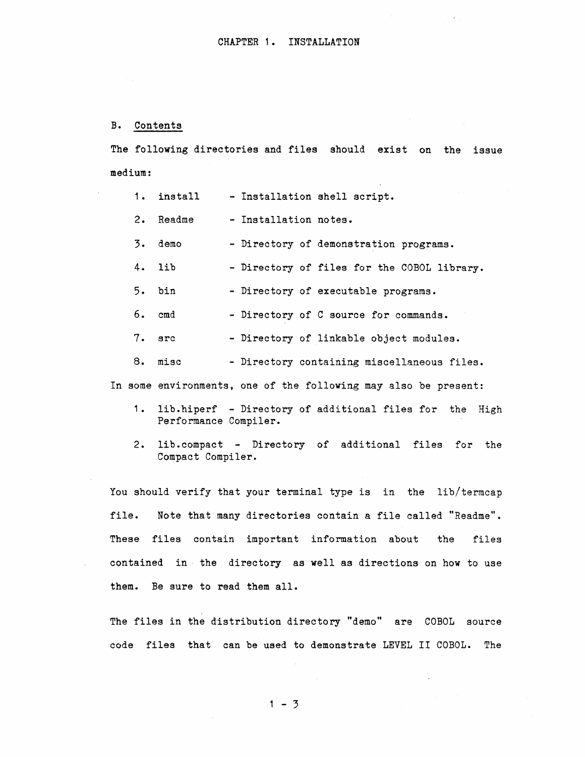#### B. Contents

The following directories and files should exist on the issue medium:

|          | 1. install | - Installation shell script.                                    |
|----------|------------|-----------------------------------------------------------------|
|          | 2. Readme  | - Installation notes.                                           |
|          | 3. demo    | - Directory of demonstration programs.                          |
| $4.$ lib |            | - Directory of files for the COBOL library.                     |
| 5. bin   |            | - Directory of executable programs.                             |
| 6. cmd   |            | - Directory of C source for commands.                           |
| 7. src   |            | - Directory of linkable object modules.                         |
|          | 8. misc    | - Directory containing miscellaneous files.                     |
|          |            | In some environments, one of the following may also be present: |

- 1. lib.hiperf Directory of additional files for the High Performance Compiler.
- 2. lib.compact Directory of additional files for the Compact Compiler.

You should verify that your terminal type is in the lib/termcap file. Note that many directories contain a file called "Readme". These files contain important information about the files contained in· the directory as well as directions on how to use them. Be sure to read them all.

The files in the distribution directory "demo" are COBOL source code files that can be used to demonstrate LEVEL II COBOL. The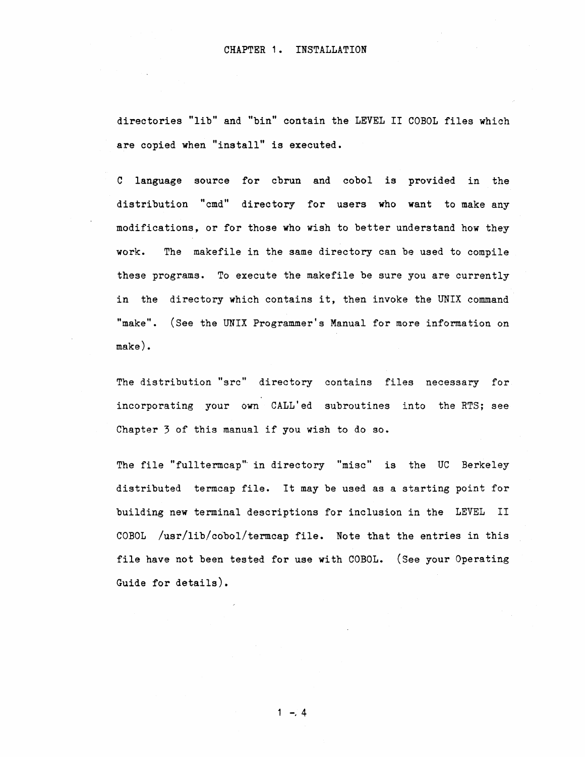directories "lib" and "bin" contain the LEVEL II COBOL files which are copied when "install" is executed.

C language source for cbrun and cobol is provided in the distribution "cmd" directory for users who want to make any modifications, or for those who wish to better understand how they work. The makefile in the same directory can be used to compile these programs. To execute the makefile be sure you are currently in the directory which contains it, then invoke the UNIX command "make". (See the UNIX Programmer's Manual for more information on make).

The distribution "src" directory contains files necessary for incorporating your own CALL'ed subroutines into the RTS; see Chapter 3 of this manual if you wish to do so.

The file "full termcap" in directory "misc" is the UC Berkeley distributed termcap file. It may be used as a starting point for building new terminal descriptions for inclusion in the LEVEL II COBOL /usr/lib/cobol/termcap file. Note that the entries in this file have not been tested for use with COBOL. (See your Operating Guide for details).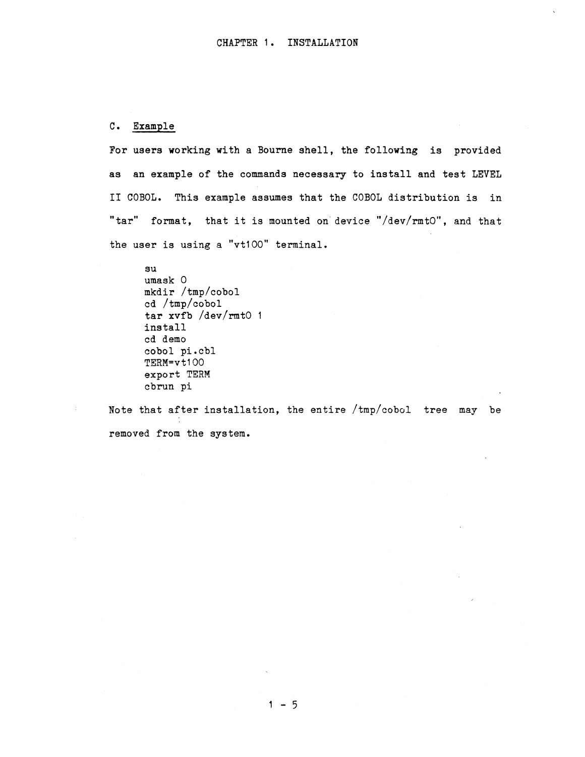# C. Example

For users working with a Bourne shell, the following is provided as an example of the commands necessary to install and test LEVEL II COBOL. This example assumes that the COBOL distribution is in "tar" format, that it is mounted on'device "/dev/rmtO", and that the user is using a "vt100" terminal.

su umask 0 mkdir /tmp/cobol cd /tmp/cobol tar xvfb /dev/rmtO install cd demo cobol pi.cbl TERM=vt100 export TERM cbrun pi

Note that after installation, the entire /tmp/cobol tree may be removed from the system.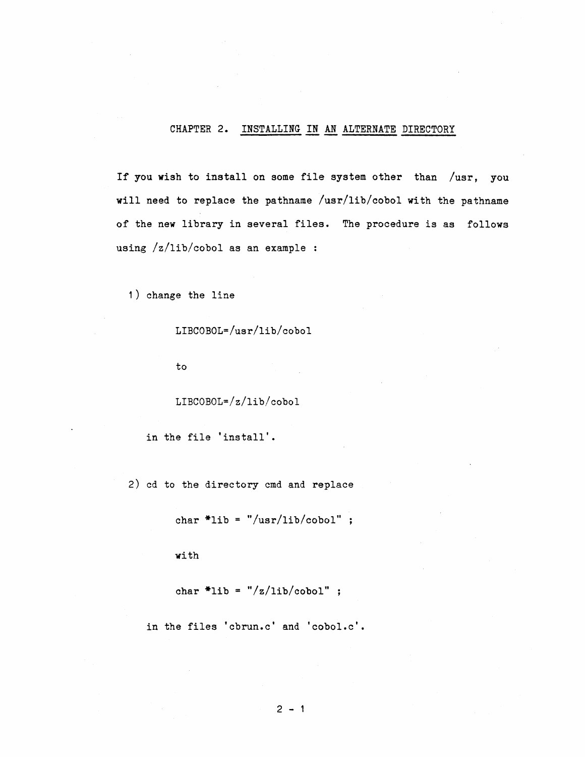# CHAPTER 2. INSTALLING IN AN ALTERNATE DIRECTORY

If you wish to install on some file system other than /usr, you will need to replace the pathname /usr/lib/cobol with the pathname of the new library in several files. The procedure is as follows using /z/lib/cobol as an example :

1) change the line

LIBCOBOL=/usr/lib/cobol

to

LIBCOBOL=/z/lib/cobol

in the file 'install'.

2) cd to the directory cmd and replace

char  $*$ lib = "/usr/lib/cobol" ;

with

char  $*$ lib = "/z/lib/cobol" ;

in the files 'cbrun.c' and 'cobol.c'.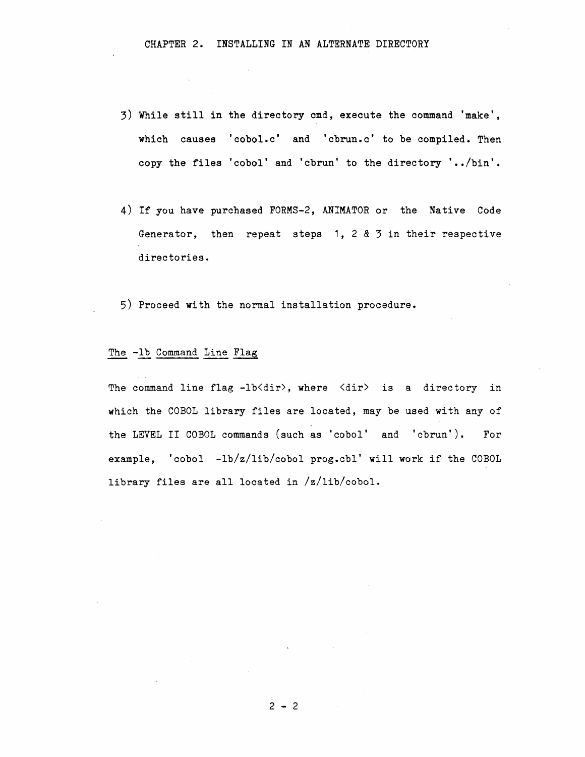- 3) While still in the directory cmd, execute the command 'make', which causes 'cobol.c' and 'cbrun.c' to be compiled. Then copy the files 'cobol' and 'cbrun' to the directory '../bin'.
- 4) If you have purchased FORMS-2, ANIMATOR or the Native Code Generator, then repeat steps 1, 2 & 3 in their respective directories.
- 5) Proceed with the normal installation procedure.

# The -lb Command Line Flag

The command line flag -lb<dir>, where <dir> is a directory in which the COBOL library files are located, may be used with any of the LEVEL II COBOL commands (such as 'cobol' and 'cbrun'). For example, 'cobol -lb/z/lib/cobol prog.cbl' will work if the COBOL library files are all located in /z/lib/cobol.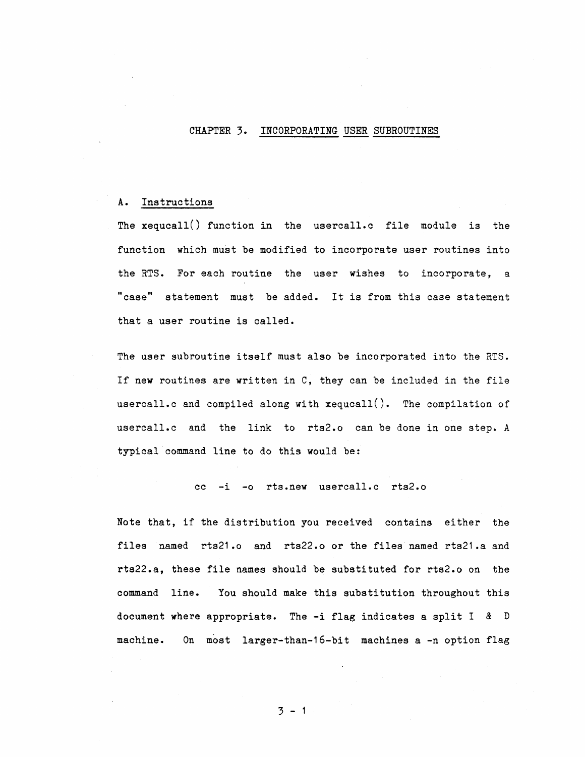#### CHAPTER 3. INCORPORATING USER SUBROUTINES

### A. Instructions

The xequca11() function in the userca11.c file module is the function which must be modified to incorporate user routines into the RTS. For each routine the user wishes to incorporate, a "case" statement must be added. It *is* from this case statement that a user routine *is* called.

The user subroutine itself must also be incorporated into the RTS. If new routines are written in C, they can be included in the file userca11.c and compiled along with xequca11(). The compilation of usercall.c and the link to rts2.o can be done in one step. A typical command line to do this would be:

cc -i -0 rts.new userca11.c rts2.0

Note that, if the distribution you received contains either the files named rts21.o and rts22.o or the files named rts21.a and rts22.a, these file names should be substituted for rts2.o on the command line. You should make this substitution throughout this document where appropriate. The -i flag indicates a split I & D machine. On most 1arger-than-16-bit machines a -n option flag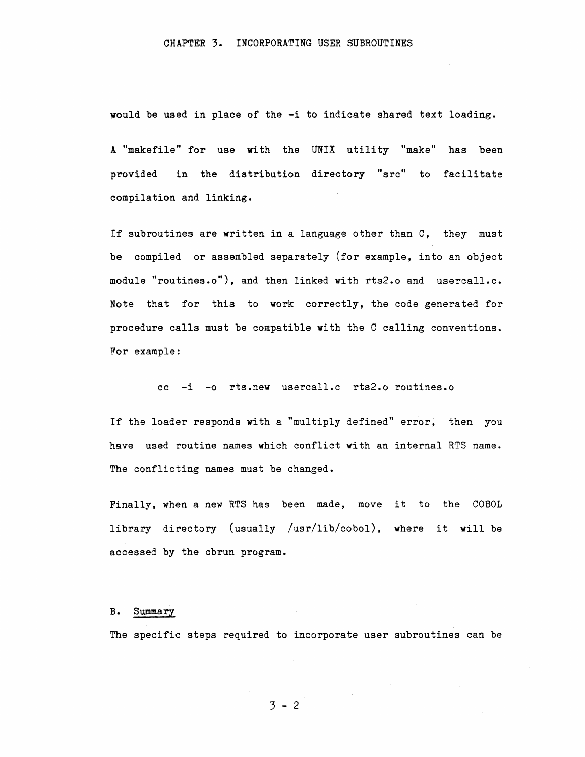would be used in place of the -i to indicate shared text loading.

A "makefile" for use with the UNIX utility "make" has been provided in the distribution directory "src" to facilitate compilation and linking.

If subroutines are written in a language other than C, they must be compiled or assembled separately (for example, into an object module "routines.o"), and then linked with rts2.o and usercall.c. Note that for this to work correctly, the code generated for procedure calls must be compatible with the C calling conventions. For example:

cc -i -0 rts.new usercall.c rts2.o routines.o

If the loader responds with a "multiply defined" error, then you have used routine names which conflict with an internal RTS name. The conflicting names must be changed.

Finally, when a new RTS has been made, move it to the COBOL library directory (usually /usr/lib/cobol), where it will be accessed by the cbrun program.

#### B. Summary

The specific steps required to incorporate user subroutines can be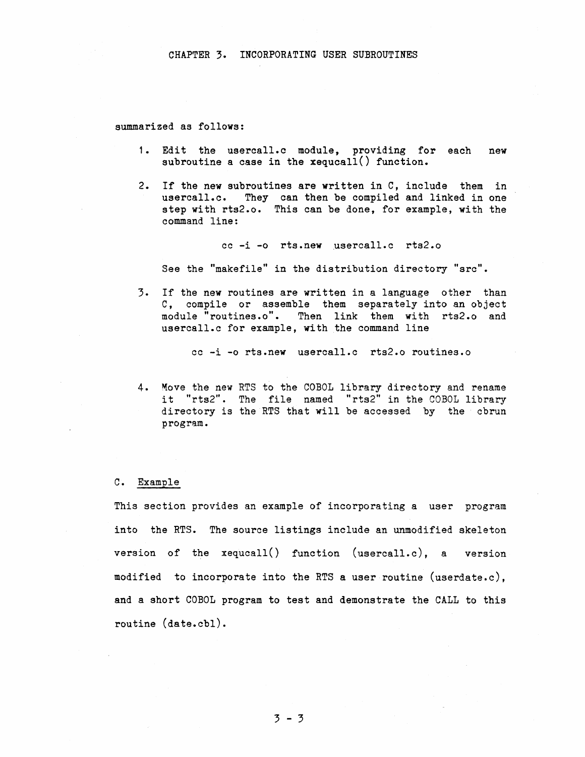summarized as follows:

- 1. Edit the usercall.c module, providing for each new subroutine a case in the xequcall() function.
- 2. If the new subroutines are written in C, include them in usercall.c. They can then be compiled and linked in one step with rts2.0. This can be done, for example, with the command line:

cc -i -0 rts.new usercall.c rts2.0

See the "makefile" in the distribution directory "src".

3. If the new routines are written in a language other than C, compile or assemble them separately into an object module "routines.o". Then link them with rts2.0 and usercall.c for example, with the command line

cc -i -0 rts.new usercall.c rts2.0 routines.o

4. Move the new RTS to the COBOL library directory and rename it "rts2". The file named "rts2" in the COBOL library directory is the RTS that will be accessed by the cbrun program.

#### C. Example

This section provides an example of incorporating a user program into the RTS. The source listings include an unmodified skeleton version of the xequcall() function (usercall.c), a version modified to incorporate into the RTS a user routine (userdate.c), and a short COBOL program to test and demonstrate the CALL to this routine (date.cbl).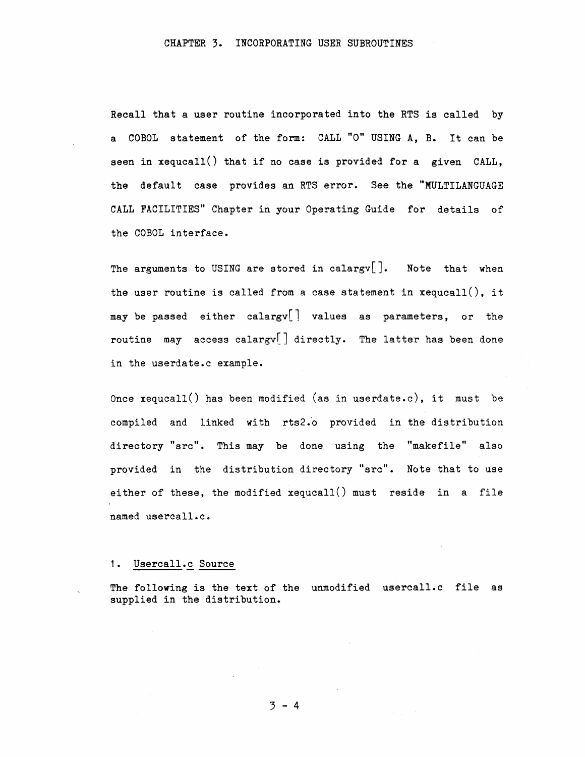Recall that a user routine incorporated into the RTS is called by a COBOL statement of the form: CALL "0" USING A, B. It can be seen in  $x = 1$  is that if no case is provided for a given  $\text{CALL}$ , the default case provides an RTS error. See the "MULTILANGUAGE CALL FACILITIES" Chapter in your Operating Guide for details of the COBOL interface.

The arguments to USING are stored in calargy<sup>[]</sup>. Note that when the user routine is called from a case statement in  $x = u(1)$ , it may be passed either calargy  $\lfloor$  values as parameters, or the routine may access calargv[] directly. The latter has been done in the userdate.c example.

Once xequcall() has been modified (as in userdate.c), it must be compiled and linked with rts2.0 provided in the distribution directory "src". This may be done using the "makefile" also provided in the distribution directory "src". Note that to use either of these, the modified xequcall() must reside in a file named usercall.c.

# 1. Usercall.c Source

The following is the text of the unmodified usercall.c file as supplied in the distribution.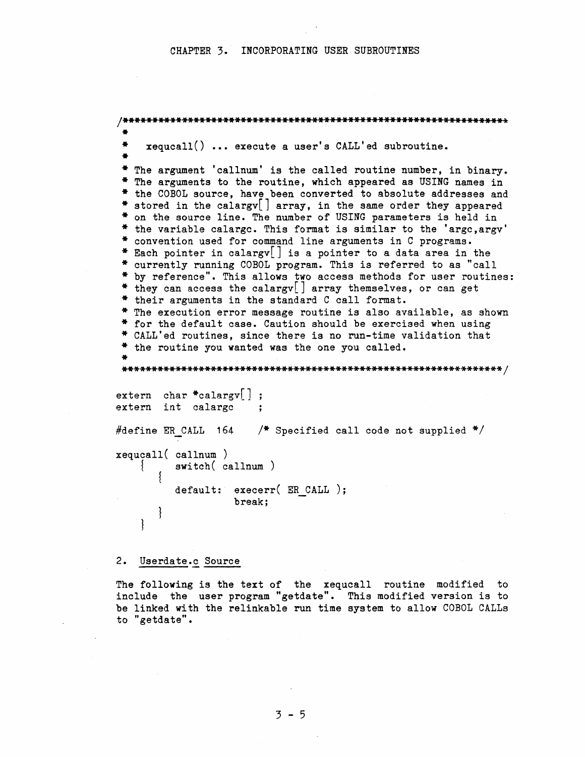#### CHAPTER 3. INCORPORATING USER SUBROUTINES

```
x = x + 1 ... execute a user's CALL'ed subroutine.
* The argument 'callnum' is the called routine number, in binary.
* The arguments to the routine, which appeared as USING names in
* the COBOL source, have been converted to absolute addresses and
* stored in the calargy array, in the same order they appeared
* on the source line. The number of USING parameters is held in
* the variable calarge. This format is similar to the 'arge, argy'
* convention used for command line arguments in C programs.
* Each pointer in calargy[] is a pointer to a data area in the
* currently running COBOL program. This is referred to as "call
* by reference". This allows two access methods for user routines:
* they can access the calargv[] array themselves, or can get
* their arguments in the standard C call format.
* The execution error message routine is also available, as shown
* for the default case. Caution should be exercised when using
* CALL'ed routines, since there is no run-time validation that
* the routine you wanted was the one you called.
extern char *calargy |;
extern int calarge
#define ER CALL 164 /* Specified call code not supplied */
xequcall(callnum)switch(callnum)
   ∤
         default: execerr( ER CALL );
                 break:
   ł
```
2. Userdate.c Source

The following is the text of the xequcall routine modified to include the user program "getdate". This modified version is to be linked with the relinkable run time system to allow COBOL CALLs to "getdate".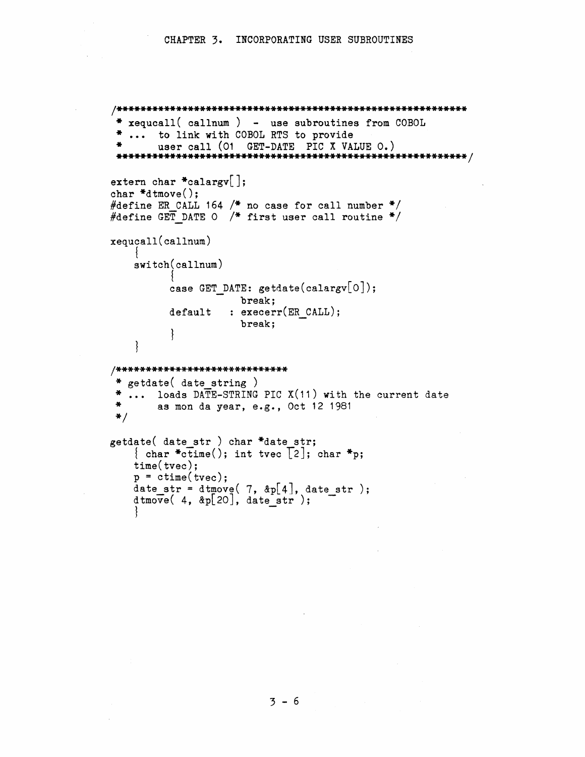```
x = \text{equcal}(cal) - \text{use subroutines from COBOL}... to link with COBOL RTS to provide
       user call (01 GET-DATE PIC X VALUE 0.)
 extern char *calargv[];
char *d tmove();
#define ER CALL 164 /* no case for call number */
#define GET DATE O /* first user call routine */
xequcall(callnum)switch(callnum)case GET DATE: getdate(calargv[O]);
                    break;
                  : execerr(ER CALL);
         default
                    break:
   { }/*****************************
 * getdate( date string )
\pmb{\ast}... loads DATE-STRING PIC X(11) with the current date
\clubsuitas mon da year, e.g., Oct 12 1981
* /
getdate( date str) char *date str;
   { char *ctime(); int tvec \lceil 2 \rceil; char *p;
   time(tvec);p = ctime(tvec);
   date_str = dtmove( 7, \&p[4], date_str);<br>dtmove( 4, &p[20], date_str);
```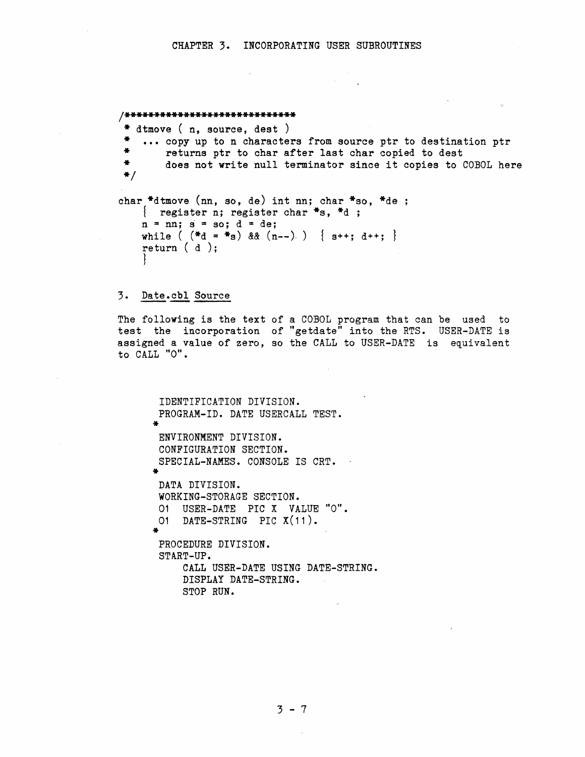```
/***************************** 
 * dtmove ( n, source, dest ) 
 * ... copy up to n characters from source ptr to destination ptr<br>* ... returns ptr to char after last char copied to dest
 * returns ptr to char after last char copied to dest<br>* does not write pull terminator since it copies to 4
         does not write null terminator since it copies to COBOL here
 */ 
char *dtmove (nn, so, de) int nn; char *so, *de;
    { register n; register char *s, *d ;
    n = nn; s = so; d = de;while ( (*d = *s) && (n--) \} *+; d++)return ( d ); 
     }
```
#### 3. Date.cbl Source

The following is the text of a COBOL program that can be used to test the incorporation of "getdate" into the RTS. USER-DATE is assigned a value of zero, so the CALL to USER-DATE is equivalent to CALL "O".

```
* 
ENVIRONMENT DIVISION. 
* 
DATA DIVISION. 
* 
IDENTIFICATION DIVISION. 
PROGRAM-ID. DATE USERCALL TEST. 
CONFIGURATION SECTION. 
SPECIAL-NAMES. CONSOLE IS CRT. 
WORKING-STORAGE SECTION. 
01 USER-DATE PIC X VALUE "0". 
01 DATE-STRING PIC X(11). 
 PROCEDURE DIVISION. 
START-UP. 
     CALL USER-DATE USING DATE-STRING. 
     DISPLAY DATE-STRING. 
     STOP RUN.
```